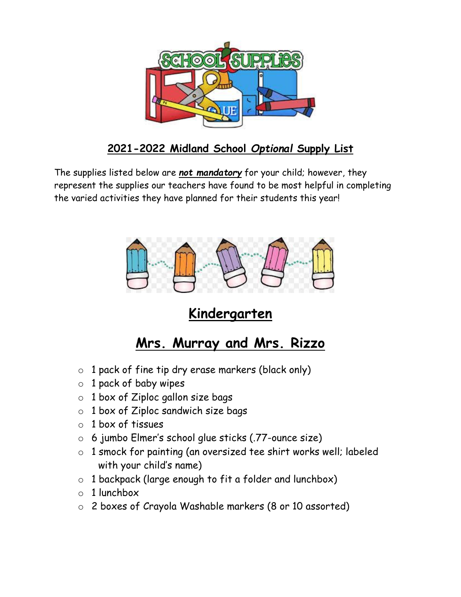

#### **2021-2022 Midland School** *Optional* **Supply List**

The supplies listed below are *not mandatory* for your child; however, they represent the supplies our teachers have found to be most helpful in completing the varied activities they have planned for their students this year!



# **Kindergarten**

#### **Mrs. Murray and Mrs. Rizzo**

- o 1 pack of fine tip dry erase markers (black only)
- $\circ$  1 pack of baby wipes
- $\circ$  1 box of Ziploc gallon size bags
- $\circ$  1 box of Ziploc sandwich size bags
- $\circ$  1 box of tissues
- o 6 jumbo Elmer's school glue sticks (.77-ounce size)
- o 1 smock for painting (an oversized tee shirt works well; labeled with your child's name)
- o 1 backpack (large enough to fit a folder and lunchbox)
- $\circ$  1 lunchbox
- o 2 boxes of Crayola Washable markers (8 or 10 assorted)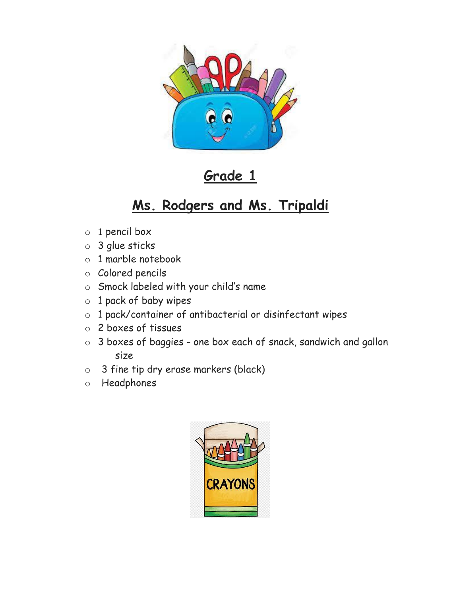

## **Grade 1**

# **Ms. Rodgers and Ms. Tripaldi**

- o 1 pencil box
- o 3 glue sticks
- o 1 marble notebook
- o Colored pencils
- o Smock labeled with your child's name
- o 1 pack of baby wipes
- o 1 pack/container of antibacterial or disinfectant wipes
- o 2 boxes of tissues
- o 3 boxes of baggies one box each of snack, sandwich and gallon size
- o 3 fine tip dry erase markers (black)
- o Headphones

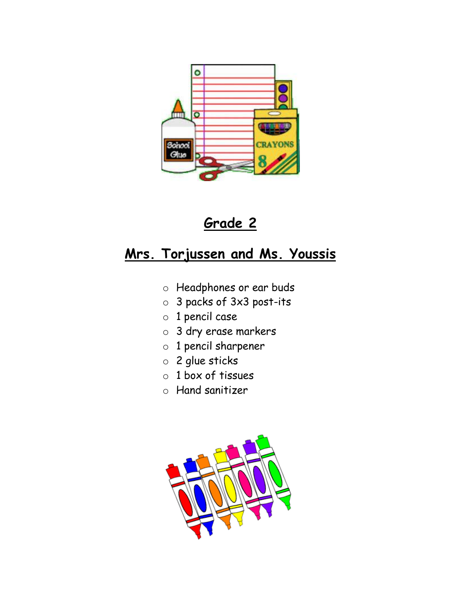



#### **Mrs. Torjussen and Ms. Youssis**

- o Headphones or ear buds
- o 3 packs of 3x3 post-its
- o 1 pencil case
- o 3 dry erase markers
- o 1 pencil sharpener
- o 2 glue sticks
- o 1 box of tissues
- o Hand sanitizer

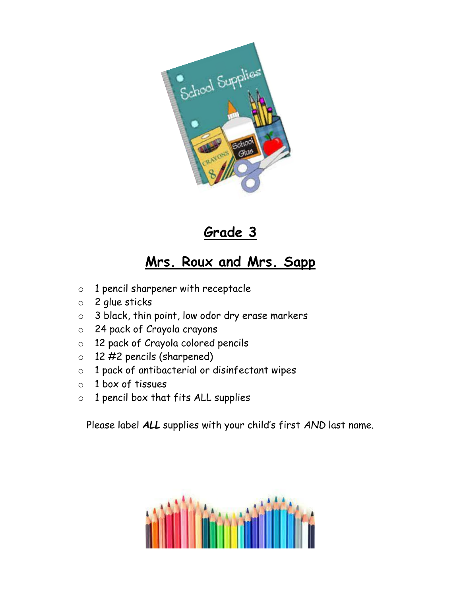

### **Grade 3**

# **Mrs. Roux and Mrs. Sapp**

- o 1 pencil sharpener with receptacle
- o 2 glue sticks
- o 3 black, thin point, low odor dry erase markers
- o 24 pack of Crayola crayons
- o 12 pack of Crayola colored pencils
- o 12 #2 pencils (sharpened)
- o 1 pack of antibacterial or disinfectant wipes
- o 1 box of tissues
- $\circ$  1 pencil box that fits ALL supplies

Please label *ALL* supplies with your child's first *AND* last name.

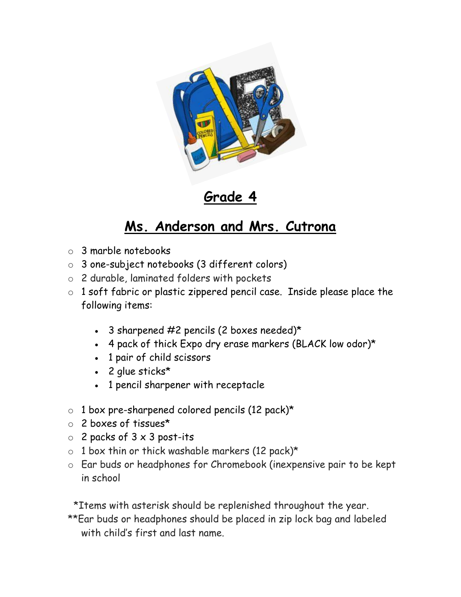

**Grade 4**

## **Ms. Anderson and Mrs. Cutrona**

- o 3 marble notebooks
- o 3 one-subject notebooks (3 different colors)
- o 2 durable, laminated folders with pockets
- o 1 soft fabric or plastic zippered pencil case. Inside please place the following items:
	- $\cdot$  3 sharpened #2 pencils (2 boxes needed)\*
	- 4 pack of thick Expo dry erase markers (BLACK low odor)\*
	- 1 pair of child scissors
	- 2 glue sticks\*
	- 1 pencil sharpener with receptacle
- o 1 box pre-sharpened colored pencils (12 pack)\*
- o 2 boxes of tissues\*
- $\circ$  2 packs of 3 x 3 post-its
- $\circ$  1 box thin or thick washable markers (12 pack)\*
- o Ear buds or headphones for Chromebook (inexpensive pair to be kept in school

 \*Items with asterisk should be replenished throughout the year. \*\*Ear buds or headphones should be placed in zip lock bag and labeled with child's first and last name.